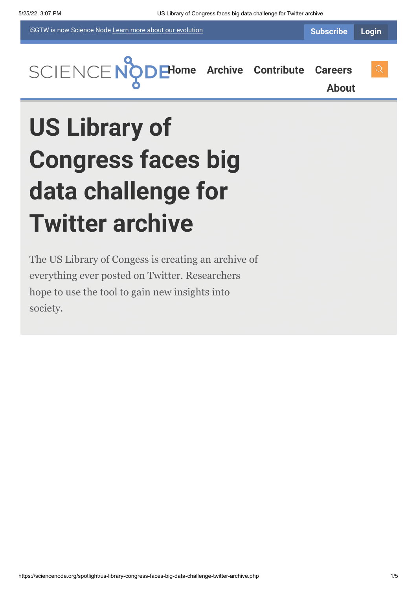iSGTW is now Science Node [Learn more about](https://sciencenode.org/about/index.php#history) our evolution



**[About](https://sciencenode.org/about/index.php)**

# **US Library of Congress faces big data challenge for Twitter archive**

The US Library of Congess is creating an archive of everything ever posted on Twitter. Researchers hope to use the tool to gain new insights into society.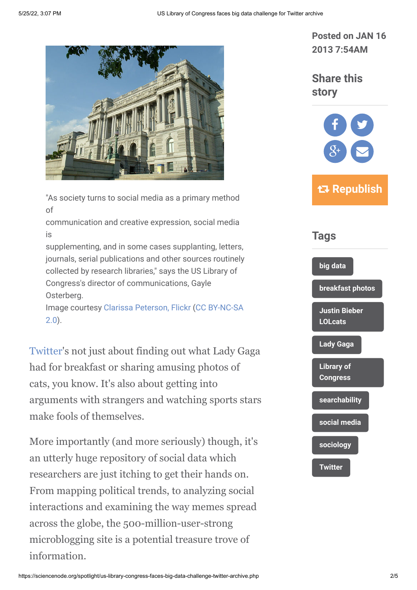

"As society turns to social media as a primary method of

communication and creative expression, social media is

supplementing, and in some cases supplanting, letters, journals, serial publications and other sources routinely collected by research libraries," says the US Library of Congress's director of communications, Gayle Osterberg.

[Image courtesy](http://creativecommons.org/licenses/by-nc-sa/2.0/) [Clarissa Peterson, Flickr](https://sciencenode.org/spotlight/us-library-congress-faces-big-data-challenge-twitter-archive.php) [\(CC BY-NC-SA](http://creativecommons.org/licenses/by-nc-sa/2.0/) 2.0).

[Twitter](https://twitter.com/)'s not just about finding out what Lady Gaga had for breakfast or sharing amusing photos of cats, you know. It's also about getting into arguments with strangers and watching sports stars make fools of themselves.

More importantly (and more seriously) though, it's an utterly huge repository of social data which researchers are just itching to get their hands on. From mapping political trends, to analyzing social interactions and examining the way memes spread across the globe, the 500-million-user-strong microblogging site is a potential treasure trove of information.

**Posted on JAN 16 2013 7:54AM**

**Share this story**



 **Republish**

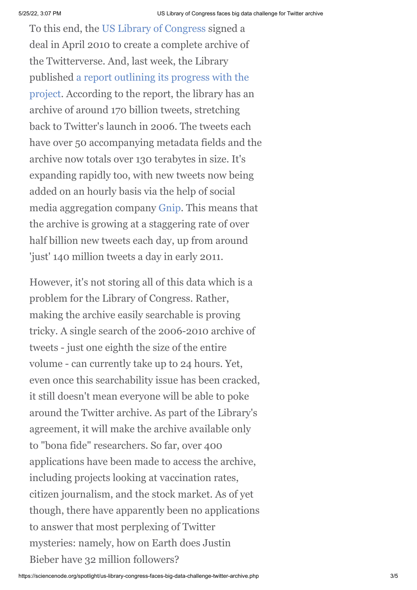To this end, the [US Library of Congress](http://www.loc.gov/index.html) signed a deal in April 2010 to create a complete archive of the Twitterverse. And, last week, the Library [published a report outlining its progress with the](http://www.loc.gov/today/pr/2013/files/twitter_report_2013jan.pdf) project. According to the report, the library has an archive of around 170 billion tweets, stretching back to Twitter's launch in 2006. The tweets each have over 50 accompanying metadata fields and the archive now totals over 130 terabytes in size. It's expanding rapidly too, with new tweets now being added on an hourly basis via the help of social media aggregation company [Gnip](http://www.google.ch/aclk?sa=l&ai=C4wW2Ho3tUKPJDfPvwQPtuYCgD9XZkesC_Yj880z316HMBggAEAEgyZiiC1Dk46u2______8BYPWVu4GYBKABo9bC5gPIAQGqBBxP0FxP-r-XBYej2i6etSRV4sGbmSQYlVRRGGXvgAWQToAHxam9GQ&sig=AOD64_0il1NcXXy5BVy-n1O1JbWe0HcLjg&ved=0CDAQ0Qw&adurl=http://gnip.com/product_overview%3Fmm_campaign%3Dd00c32f160784d6c3962431b337813dd%26keyword%3Dgnip%26utm_source%3Dgoogle%26utm_medium%3Dcpc%26utm_campaign%3DGoogle%2520-%2520Brand%2520Terms%2520-%2520Search%26utm_content%3D20578587661%26utm_keyword%3Dgnip%26_kk%3Dgnip%26_kt%3D333ea220-d4b3-47f0-af2a-d244a5f487db&rct=j&q=GNIP). This means that the archive is growing at a staggering rate of over half billion new tweets each day, up from around 'just' 140 million tweets a day in early 2011.

However, it's not storing all of this data which is a problem for the Library of Congress. Rather, making the archive easily searchable is proving tricky. A single search of the 2006-2010 archive of tweets - just one eighth the size of the entire volume - can currently take up to 24 hours. Yet, even once this searchability issue has been cracked, it still doesn't mean everyone will be able to poke around the Twitter archive. As part of the Library's agreement, it will make the archive available only to "bona fide" researchers. So far, over 400 applications have been made to access the archive, including projects looking at vaccination rates, citizen journalism, and the stock market. As of yet though, there have apparently been no applications to answer that most perplexing of Twitter mysteries: namely, how on Earth does Justin Bieber have 32 million followers?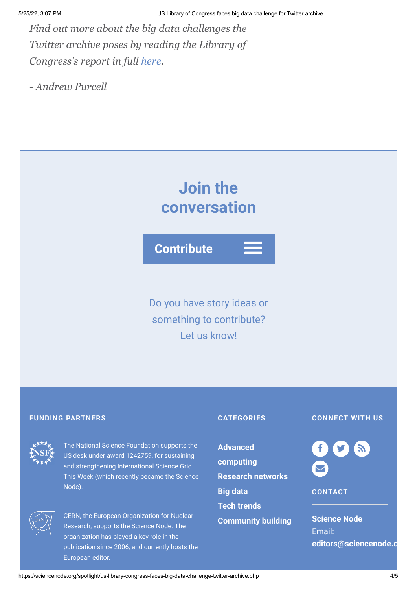*Find out more about the big data challenges the Twitter archive poses by reading the Library of Congress's report in full [here](http://www.loc.gov/today/pr/2013/files/twitter_report_2013jan.pdf).*

*- Andrew Purcell*

## **Join the conversation**

**Contribute**

Do you have story ideas or something to contribute? Let us know!

#### **FUNDING PARTNERS CATEGORIES**



The National Science Foundation supports the US desk under award 1242759, for sustaining and strengthening International Science Grid This Week (which recently became the Science Node).



CERN, the European Organization for Nuclear Research, supports the Science Node. The organization has played a key role in the publication since 2006, and currently hosts the European editor.

**Advanced [computing](https://sciencenode.org/archive/?year=2015&category=Advanced%20computing) [Research networks](https://sciencenode.org/archive/?year=2015&category=Advanced%20computing&category=Research%20networks) [Big data](https://sciencenode.org/archive/?year=2015&category=Advanced%20computing&category=Research%20networks&category=Big%20data) [Tech trends](https://sciencenode.org/archive/?year=2015&category=Advanced%20computing&category=Research%20networks&category=Big%20data&category=Tech%20trends) [Community building](https://sciencenode.org/archive/?year=2015&category=Advanced%20computing&category=Research%20networks&category=Big%20data&category=Tech%20trends&category=Community%20building)**

### **CONNECT WITH US**



**CONTACT**

**Science Node** Email: **[editors@sciencenode.o](mailto:edit%6F%72s@s%63%69encenode.%6F%72%67)**